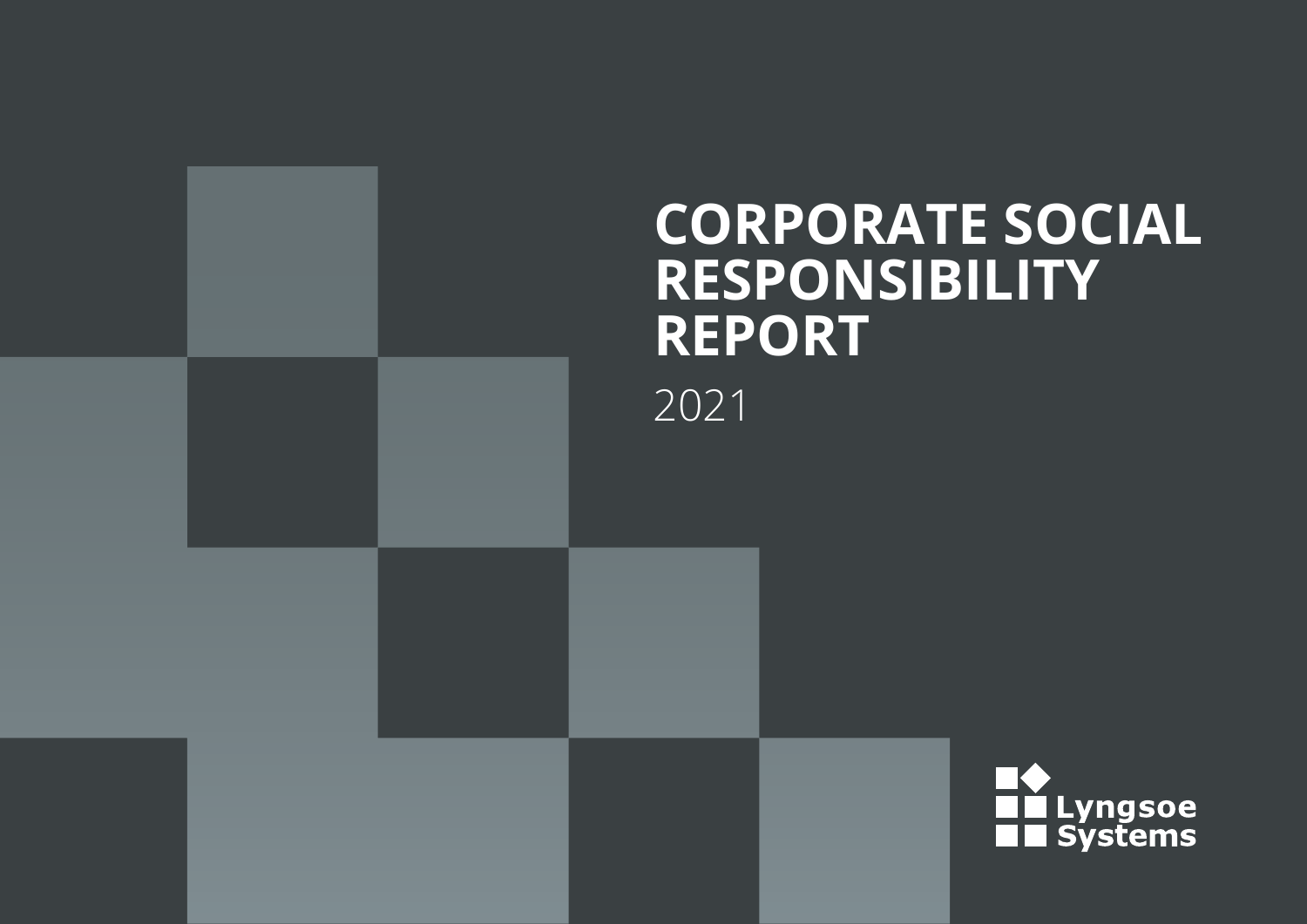## **CORPORATE SOCIAL RESPONSIBILITY REPORT** 2021

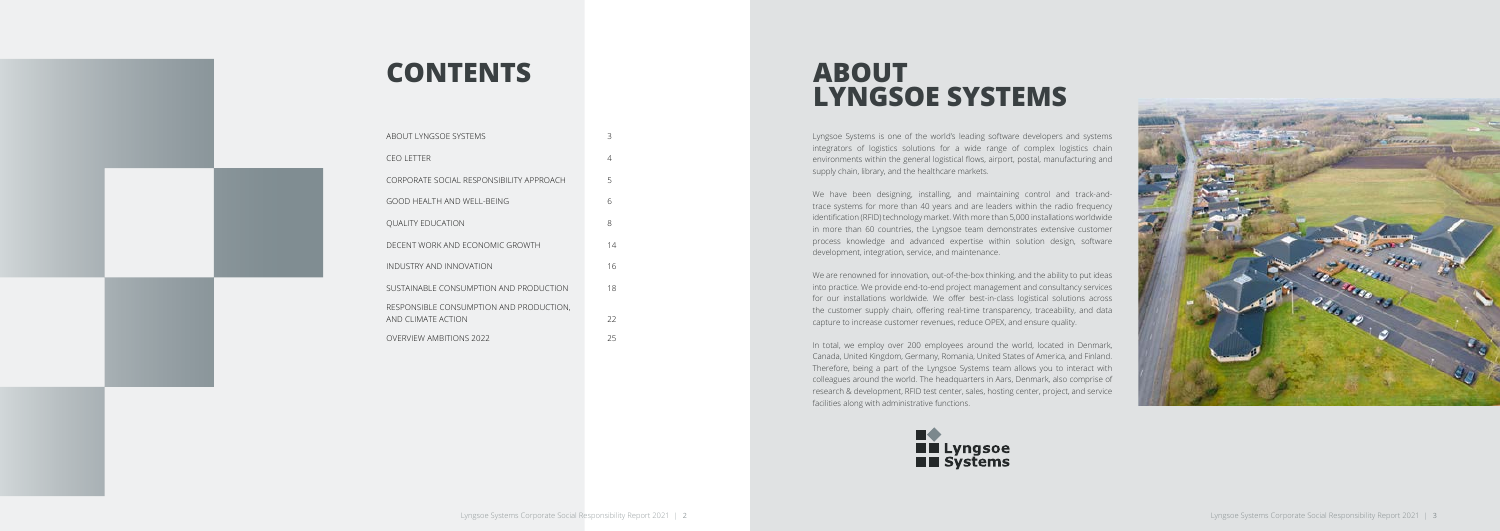Lyngsoe Systems is one of the world's leading software developers and systems integrators of logistics solutions for a wide range of complex logistics chain environments within the general logistical flows, airport, postal, manufacturing and supply chain, library, and the healthcare markets.

We have been designing, installing, and maintaining control and track-andtrace systems for more than 40 years and are leaders within the radio frequency identification (RFID) technology market. With more than 5,000 installations worldwide in more than 60 countries, the Lyngsoe team demonstrates extensive customer process knowledge and advanced expertise within solution design, software development, integration, service, and maintenance.

| ABOUT LYNGSOE SYSTEMS                                         | 3  |
|---------------------------------------------------------------|----|
| <b>CEOLETTER</b>                                              | 4  |
| CORPORATE SOCIAL RESPONSIBILITY APPROACH                      | 5  |
| GOOD HEALTH AND WELL-BEING                                    | 6  |
| <b>OUALITY EDUCATION</b>                                      | 8  |
| DECENT WORK AND ECONOMIC GROWTH                               | 14 |
| INDUSTRY AND INNOVATION                                       | 16 |
| SUSTAINABLE CONSUMPTION AND PRODUCTION                        | 18 |
| RESPONSIBLE CONSUMPTION AND PRODUCTION,<br>AND CLIMATE ACTION | 22 |
| <b>OVERVIEW AMBITIONS 2022</b>                                | 25 |
|                                                               |    |

We are renowned for innovation, out-of-the-box thinking, and the ability to put ideas into practice. We provide end-to-end project management and consultancy services for our installations worldwide. We offer best-in-class logistical solutions across the customer supply chain, offering real-time transparency, traceability, and data capture to increase customer revenues, reduce OPEX, and ensure quality.

In total, we employ over 200 employees around the world, located in Denmark, Canada, United Kingdom, Germany, Romania, United States of America, and Finland. Therefore, being a part of the Lyngsoe Systems team allows you to interact with colleagues around the world. The headquarters in Aars, Denmark, also comprise of research & development, RFID test center, sales, hosting center, project, and service facilities along with administrative functions.







## **CONTENTS**

## **ABOUT LYNGSOE SYSTEMS**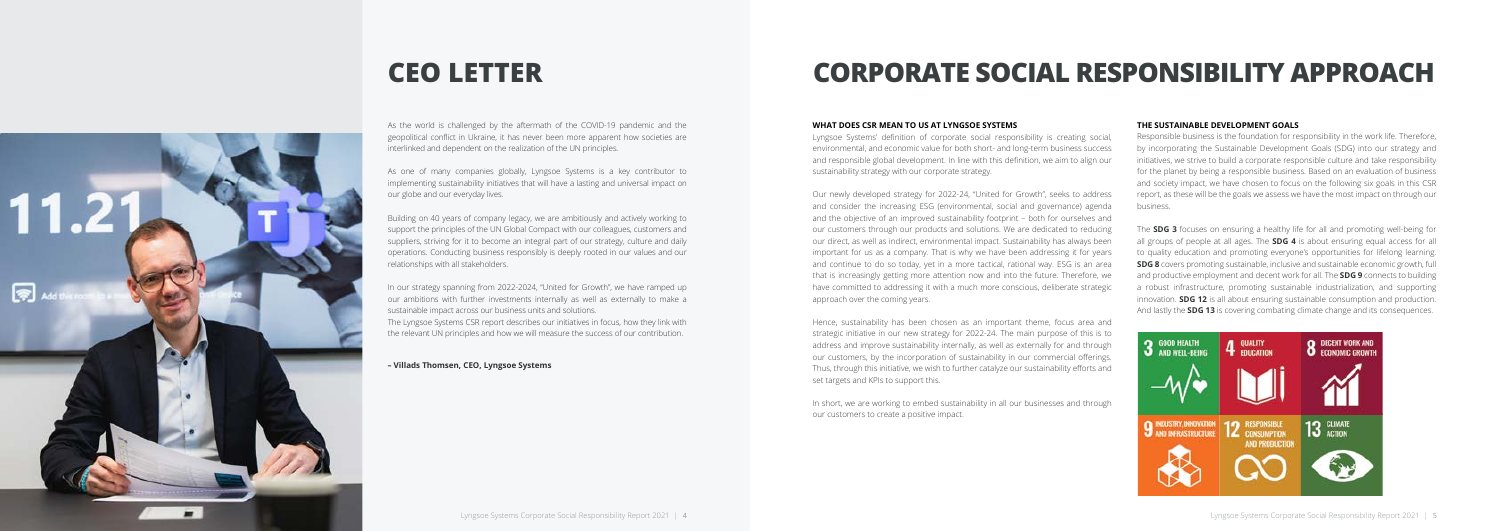

As the world is challenged by the aftermath of the COVID-19 pandemic and the geopolitical conflict in Ukraine, it has never been more apparent how societies are interlinked and dependent on the realization of the UN principles.

As one of many companies globally, Lyngsoe Systems is a key contributor to implementing sustainability initiatives that will have a lasting and universal impact on our globe and our everyday lives.

Building on 40 years of company legacy, we are ambitiously and actively working to support the principles of the UN Global Compact with our colleagues, customers and suppliers, striving for it to become an integral part of our strategy, culture and daily operations. Conducting business responsibly is deeply rooted in our values and our relationships with all stakeholders.

In our strategy spanning from 2022-2024, "United for Growth", we have ramped up our ambitions with further investments internally as well as externally to make a sustainable impact across our business units and solutions.

The Lyngsoe Systems CSR report describes our initiatives in focus, how they link with the relevant UN principles and how we will measure the success of our contribution.

**– Villads Thomsen, CEO, Lyngsoe Systems**

## **CEO LETTER CORPORATE SOCIAL RESPONSIBILITY APPROACH**

#### **WHAT DOES CSR MEAN TO US AT LYNGSOE SYSTEMS**

Lyngsoe Systems' definition of corporate social responsibility is creating social, environmental, and economic value for both short- and long-term business success and responsible global development. In line with this definition, we aim to align our sustainability strategy with our corporate strategy.

Our newly developed strategy for 2022-24, "United for Growth", seeks to address and consider the increasing ESG (environmental, social and governance) agenda and the objective of an improved sustainability footprint – both for ourselves and our customers through our products and solutions. We are dedicated to reducing our direct, as well as indirect, environmental impact. Sustainability has always been important for us as a company. That is why we have been addressing it for years and continue to do so today, yet in a more tactical, rational way. ESG is an area that is increasingly getting more attention now and into the future. Therefore, we have committed to addressing it with a much more conscious, deliberate strategic approach over the coming years.

Hence, sustainability has been chosen as an important theme, focus area and strategic initiative in our new strategy for 2022-24. The main purpose of this is to address and improve sustainability internally, as well as externally for and through our customers, by the incorporation of sustainability in our commercial offerings. Thus, through this initiative, we wish to further catalyze our sustainability efforts and set targets and KPIs to support this.

In short, we are working to embed sustainability in all our businesses and through our customers to create a positive impact.

#### **THE SUSTAINABLE DEVELOPMENT GOALS**

Responsible business is the foundation for responsibility in the work life. Therefore, by incorporating the Sustainable Development Goals (SDG) into our strategy and initiatives, we strive to build a corporate responsible culture and take responsibility for the planet by being a responsible business. Based on an evaluation of business and society impact, we have chosen to focus on the following six goals in this CSR report, as these will be the goals we assess we have the most impact on through our business.

The **SDG 3** focuses on ensuring a healthy life for all and promoting well-being for all groups of people at all ages. The **SDG 4** is about ensuring equal access for all to quality education and promoting everyone's opportunities for lifelong learning. **SDG 8** covers promoting sustainable, inclusive and sustainable economic growth, full and productive employment and decent work for all. The **SDG 9** connects to building a robust infrastructure, promoting sustainable industrialization, and supporting innovation. **SDG 12** is all about ensuring sustainable consumption and production. And lastly the **SDG 13** is covering combating climate change and its consequences.

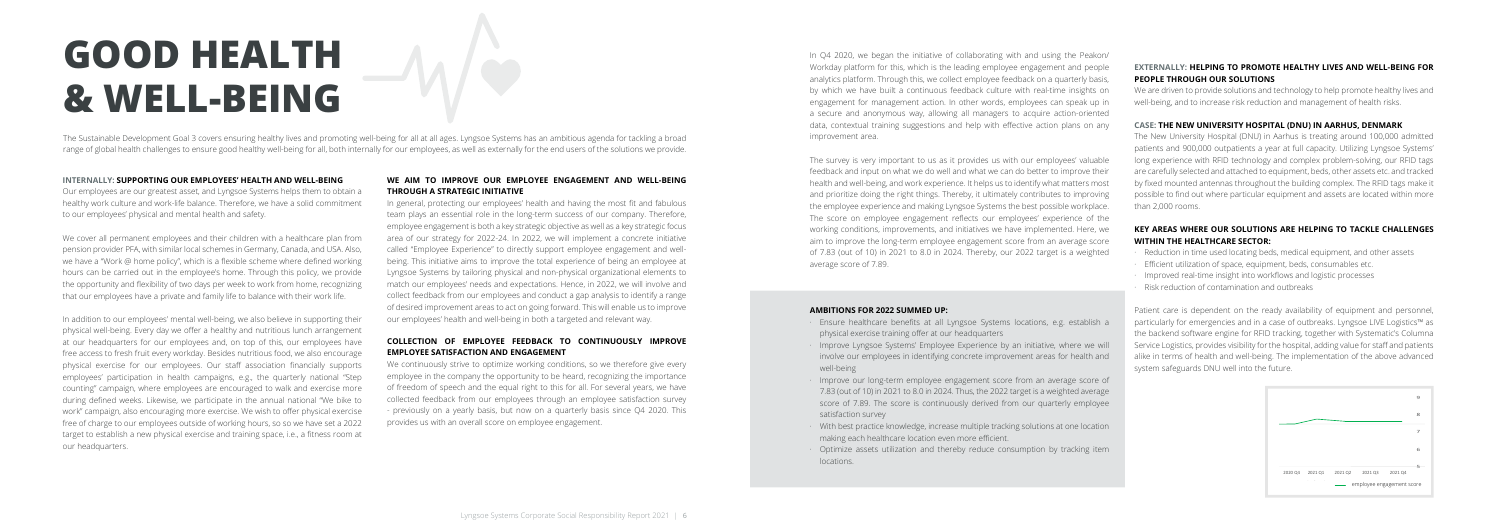In Q4 2020, we began the initiative of collaborating with and using the Peakon/ Workday platform for this, which is the leading employee engagement and people analytics platform. Through this, we collect employee feedback on a quarterly basis, by which we have built a continuous feedback culture with real-time insights on engagement for management action. In other words, employees can speak up in a secure and anonymous way, allowing all managers to acquire action-oriented data, contextual training suggestions and help with effective action plans on any improvement area.

The survey is very important to us as it provides us with our employees' valuable feedback and input on what we do well and what we can do better to improve their health and well-being, and work experience. It helps us to identify what matters most and prioritize doing the right things. Thereby, it ultimately contributes to improving the employee experience and making Lyngsoe Systems the best possible workplace. The score on employee engagement reflects our employees' experience of the working conditions, improvements, and initiatives we have implemented. Here, we aim to improve the long-term employee engagement score from an average score of 7.83 (out of 10) in 2021 to 8.0 in 2024. Thereby, our 2022 target is a weighted average score of 7.89.

#### **AMBITIONS FOR 2022 SUMMED UP:**

- Reduction in time used locating beds, medical equipment, and other assets
- Efficient utilization of space, equipment, beds, consumables etc.
- · Improved real-time insight into workflows and logistic processes
- · Risk reduction of contamination and outbreaks

- · Ensure healthcare benefits at all Lyngsoe Systems locations, e.g. establish a physical exercise training offer at our headquarters
- · Improve Lyngsoe Systems' Employee Experience by an initiative, where we will involve our employees in identifying concrete improvement areas for health and well-being
- · Improve our long-term employee engagement score from an average score of 7.83 (out of 10) in 2021 to 8.0 in 2024. Thus, the 2022 target is a weighted average score of 7.89. The score is continuously derived from our quarterly employee satisfaction survey
- · With best practice knowledge, increase multiple tracking solutions at one location making each healthcare location even more efficient.
- · Optimize assets utilization and thereby reduce consumption by tracking item locations.

#### **EXTERNALLY: HELPING TO PROMOTE HEALTHY LIVES AND WELL-BEING FOR PEOPLE THROUGH OUR SOLUTIONS**

We are driven to provide solutions and technology to help promote healthy lives and well-being, and to increase risk reduction and management of health risks.

#### **CASE: THE NEW UNIVERSITY HOSPITAL (DNU) IN AARHUS, DENMARK**

The New University Hospital (DNU) in Aarhus is treating around 100,000 admitted patients and 900,000 outpatients a year at full capacity. Utilizing Lyngsoe Systems' long experience with RFID technology and complex problem-solving, our RFID tags are carefully selected and attached to equipment, beds, other assets etc. and tracked by fixed mounted antennas throughout the building complex. The RFID tags make it possible to find out where particular equipment and assets are located within more than 2,000 rooms.

#### **KEY AREAS WHERE OUR SOLUTIONS ARE HELPING TO TACKLE CHALLENGES WITHIN THE HEALTHCARE SECTOR:**

Patient care is dependent on the ready availability of equipment and personnel, particularly for emergencies and in a case of outbreaks. Lyngsoe LIVE Logistics™ as the backend software engine for RFID tracking, together with Systematic's Columna Service Logistics, provides visibility for the hospital, adding value for staff and patients alike in terms of health and well-being. The implementation of the above advanced system safeguards DNU well into the future.



#### **INTERNALLY: SUPPORTING OUR EMPLOYEES' HEALTH AND WELL-BEING**

Our employees are our greatest asset, and Lyngsoe Systems helps them to obtain a healthy work culture and work-life balance. Therefore, we have a solid commitment to our employees' physical and mental health and safety.

We cover all permanent employees and their children with a healthcare plan from pension provider PFA, with similar local schemes in Germany, Canada, and USA. Also, we have a "Work @ home policy", which is a flexible scheme where defined working hours can be carried out in the employee's home. Through this policy, we provide the opportunity and flexibility of two days per week to work from home, recognizing that our employees have a private and family life to balance with their work life.

In addition to our employees' mental well-being, we also believe in supporting their physical well-being. Every day we offer a healthy and nutritious lunch arrangement at our headquarters for our employees and, on top of this, our employees have free access to fresh fruit every workday. Besides nutritious food, we also encourage physical exercise for our employees. Our staff association financially supports employees' participation in health campaigns, e.g., the quarterly national "Step counting" campaign, where employees are encouraged to walk and exercise more during defined weeks. Likewise, we participate in the annual national "We bike to work" campaign, also encouraging more exercise. We wish to offer physical exercise free of charge to our employees outside of working hours, so so we have set a 2022 target to establish a new physical exercise and training space, i.e., a fitness room at our headquarters.

### **WE AIM TO IMPROVE OUR EMPLOYEE ENGAGEMENT AND WELL-BEING THROUGH A STRATEGIC INITIATIVE**

In general, protecting our employees' health and having the most fit and fabulous team plays an essential role in the long-term success of our company. Therefore, employee engagement is both a key strategic objective as well as a key strategic focus area of our strategy for 2022-24. In 2022, we will implement a concrete initiative called "Employee Experience" to directly support employee engagement and wellbeing. This initiative aims to improve the total experience of being an employee at Lyngsoe Systems by tailoring physical and non-physical organizational elements to match our employees' needs and expectations. Hence, in 2022, we will involve and collect feedback from our employees and conduct a gap analysis to identify a range of desired improvement areas to act on going forward. This will enable us to improve our employees' health and well-being in both a targeted and relevant way.

### **COLLECTION OF EMPLOYEE FEEDBACK TO CONTINUOUSLY IMPROVE EMPLOYEE SATISFACTION AND ENGAGEMENT**

We continuously strive to optimize working conditions, so we therefore give every employee in the company the opportunity to be heard, recognizing the importance of freedom of speech and the equal right to this for all. For several years, we have collected feedback from our employees through an employee satisfaction survey - previously on a yearly basis, but now on a quarterly basis since Q4 2020. This provides us with an overall score on employee engagement.

# **GOOD HEALTH & WELL-BEING**

The Sustainable Development Goal 3 covers ensuring healthy lives and promoting well-being for all at all ages. Lyngsoe Systems has an ambitious agenda for tackling a broad range of global health challenges to ensure good healthy well-being for all, both internally for our employees, as well as externally for the end users of the solutions we provide.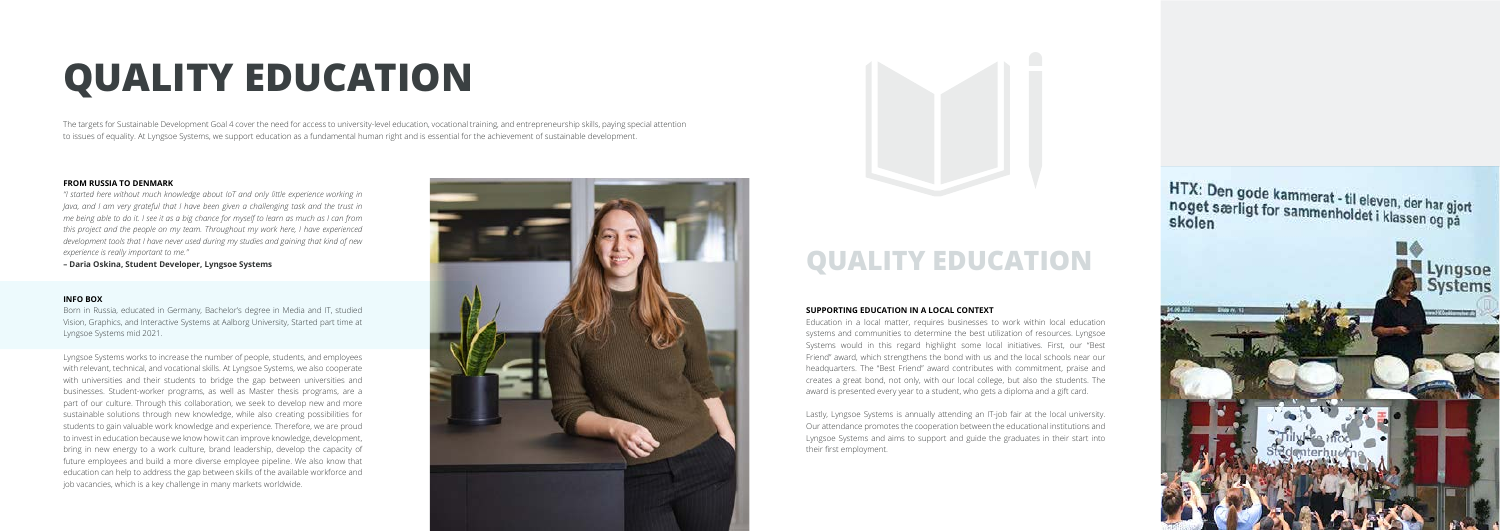



The targets for Sustainable Development Goal 4 cover the need for access to university-level education, vocational training, and entrepreneurship skills, paying special attention to issues of equality. At Lyngsoe Systems, we support education as a fundamental human right and is essential for the achievement of sustainable development.

# **QUALITY EDUCATION**

#### **SUPPORTING EDUCATION IN A LOCAL CONTEXT**

Education in a local matter, requires businesses to work within local education systems and communities to determine the best utilization of resources. Lyngsoe Systems would in this regard highlight some local initiatives. First, our "Best Friend" award, which strengthens the bond with us and the local schools near our headquarters. The "Best Friend" award contributes with commitment, praise and creates a great bond, not only, with our local college, but also the students. The award is presented every year to a student, who gets a diploma and a gift card.

Lastly, Lyngsoe Systems is annually attending an IT-job fair at the local university. Our attendance promotes the cooperation between the educational institutions and Lyngsoe Systems and aims to support and guide the graduates in their start into their first employment.

HTX: Den gode kammerat - til eleven, der har gjort<br>noget særligt for sammenholdet i klassen og på<br>skolen



## **QUALITY EDUCATION**

#### **FROM RUSSIA TO DENMARK**

*"I started here without much knowledge about IoT and only little experience working in Java, and I am very grateful that I have been given a challenging task and the trust in me being able to do it. I see it as a big chance for myself to learn as much as I can from this project and the people on my team. Throughout my work here, I have experienced development tools that I have never used during my studies and gaining that kind of new experience is really important to me."* 

**– Daria Oskina, Student Developer, Lyngsoe Systems**

#### **INFO BOX**

Born in Russia, educated in Germany, Bachelor's degree in Media and IT, studied Vision, Graphics, and Interactive Systems at Aalborg University, Started part time at Lyngsoe Systems mid 2021.

Lyngsoe Systems works to increase the number of people, students, and employees with relevant, technical, and vocational skills. At Lyngsoe Systems, we also cooperate with universities and their students to bridge the gap between universities and businesses. Student-worker programs, as well as Master thesis programs, are a part of our culture. Through this collaboration, we seek to develop new and more sustainable solutions through new knowledge, while also creating possibilities for students to gain valuable work knowledge and experience. Therefore, we are proud to invest in education because we know how it can improve knowledge, development, bring in new energy to a work culture, brand leadership, develop the capacity of future employees and build a more diverse employee pipeline. We also know that education can help to address the gap between skills of the available workforce and job vacancies, which is a key challenge in many markets worldwide.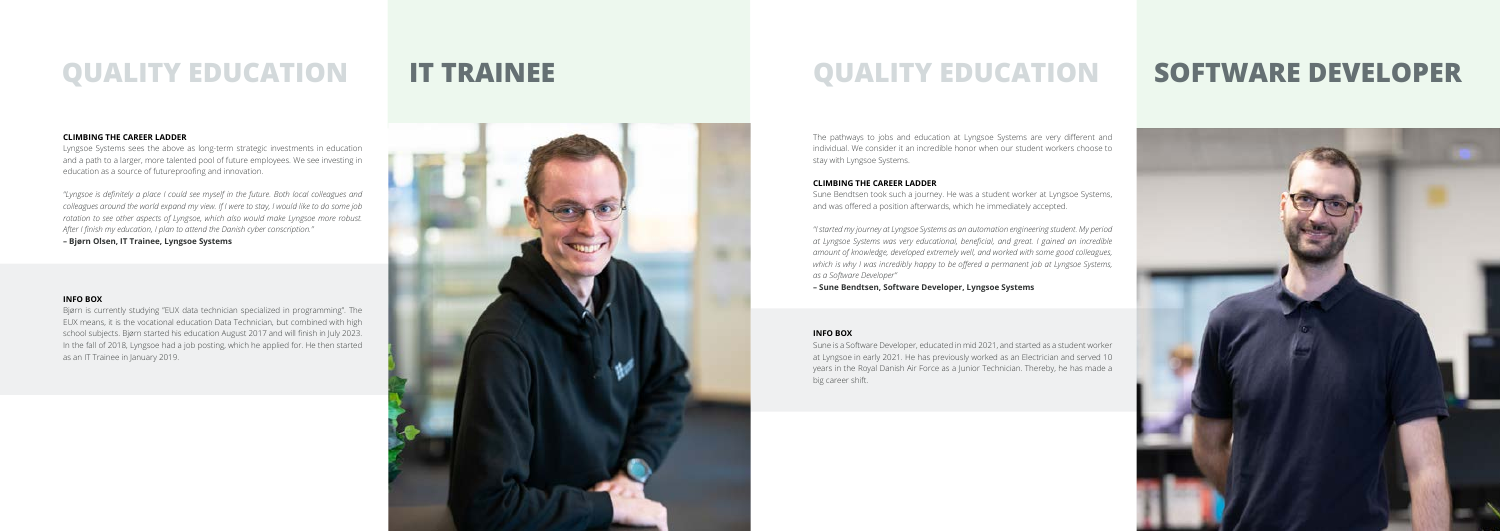

## **QUALITY EDUCATION IT TRAINEE**

#### **CLIMBING THE CAREER LADDER**

Lyngsoe Systems sees the above as long-term strategic investments in education and a path to a larger, more talented pool of future employees. We see investing in education as a source of futureproofing and innovation.

*"Lyngsoe is definitely a place I could see myself in the future. Both local colleagues and colleagues around the world expand my view. If I were to stay, I would like to do some job rotation to see other aspects of Lyngsoe, which also would make Lyngsoe more robust. After I finish my education, I plan to attend the Danish cyber conscription."*

**– Bjørn Olsen, IT Trainee, Lyngsoe Systems**

#### **INFO BOX**

Bjørn is currently studying "EUX data technician specialized in programming". The EUX means, it is the vocational education Data Technician, but combined with high school subjects. Bjørn started his education August 2017 and will finish in July 2023. In the fall of 2018, Lyngsoe had a job posting, which he applied for. He then started as an IT Trainee in January 2019.



## **QUALITY EDUCATION SOFTWARE DEVELOPER**

The pathways to jobs and education at Lyngsoe Systems are very different and individual. We consider it an incredible honor when our student workers choose to stay with Lyngsoe Systems.

#### **CLIMBING THE CAREER LADDER**

Sune Bendtsen took such a journey. He was a student worker at Lyngsoe Systems, and was offered a position afterwards, which he immediately accepted.

*"I started my journey at Lyngsoe Systems as an automation engineering student. My period at Lyngsoe Systems was very educational, beneficial, and great. I gained an incredible amount of knowledge, developed extremely well, and worked with some good colleagues, which is why I was incredibly happy to be offered a permanent job at Lyngsoe Systems, as a Software Developer"* 

**– Sune Bendtsen, Software Developer, Lyngsoe Systems**

#### **INFO BOX**

Sune is a Software Developer, educated in mid 2021, and started as a student worker at Lyngsoe in early 2021. He has previously worked as an Electrician and served 10 years in the Royal Danish Air Force as a Junior Technician. Thereby, he has made a big career shift.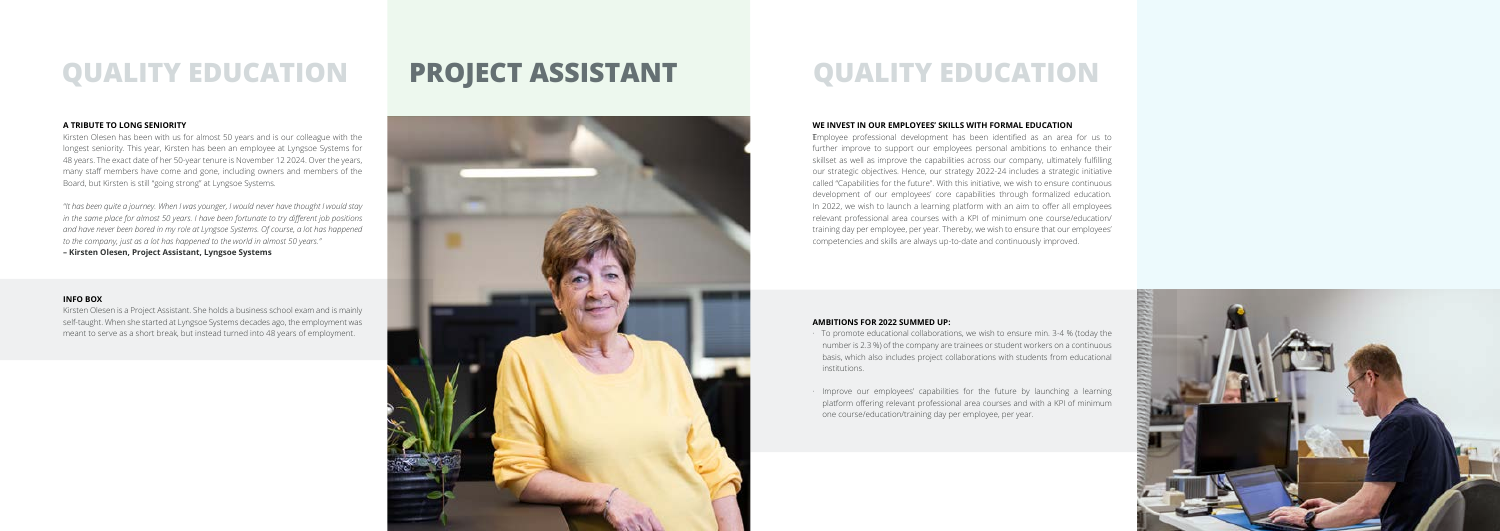

## **QUALITY EDUCATION PROJECT ASSISTANT QUALITY EDUCATION**

#### **A TRIBUTE TO LONG SENIORITY**

Kirsten Olesen has been with us for almost 50 years and is our colleague with the longest seniority. This year, Kirsten has been an employee at Lyngsoe Systems for 48 years. The exact date of her 50-year tenure is November 12 2024. Over the years, many staff members have come and gone, including owners and members of the Board, but Kirsten is still "going strong" at Lyngsoe Systems.

*"It has been quite a journey. When I was younger, I would never have thought I would stay in the same place for almost 50 years. I have been fortunate to try different job positions and have never been bored in my role at Lyngsoe Systems. Of course, a lot has happened to the company, just as a lot has happened to the world in almost 50 years."* 

**– Kirsten Olesen, Project Assistant, Lyngsoe Systems**

#### **INFO BOX**

Kirsten Olesen is a Project Assistant. She holds a business school exam and is mainly self-taught. When she started at Lyngsoe Systems decades ago, the employment was meant to serve as a short break, but instead turned into 48 years of employment.



T Employee professional development has been identified as an area for us to further improve to support our employees personal ambitions to enhance their skillset as well as improve the capabilities across our company, ultimately fulfilling our strategic objectives. Hence, our strategy 2022-24 includes a strategic initiative called "Capabilities for the future". With this initiative, we wish to ensure continuous development of our employees' core capabilities through formalized education. In 2022, we wish to launch a learning platform with an aim to offer all employees relevant professional area courses with a KPI of minimum one course/education/ training day per employee, per year. Thereby, we wish to ensure that our employees' competencies and skills are always up-to-date and continuously improved.

#### **WE INVEST IN OUR EMPLOYEES' SKILLS WITH FORMAL EDUCATION**

#### **AMBITIONS FOR 2022 SUMMED UP:**

- · To promote educational collaborations, we wish to ensure min. 3-4 % (today the number is 2.3 %) of the company are trainees or student workers on a continuous basis, which also includes project collaborations with students from educational institutions.
- · Improve our employees' capabilities for the future by launching a learning platform offering relevant professional area courses and with a KPI of minimum one course/education/training day per employee, per year.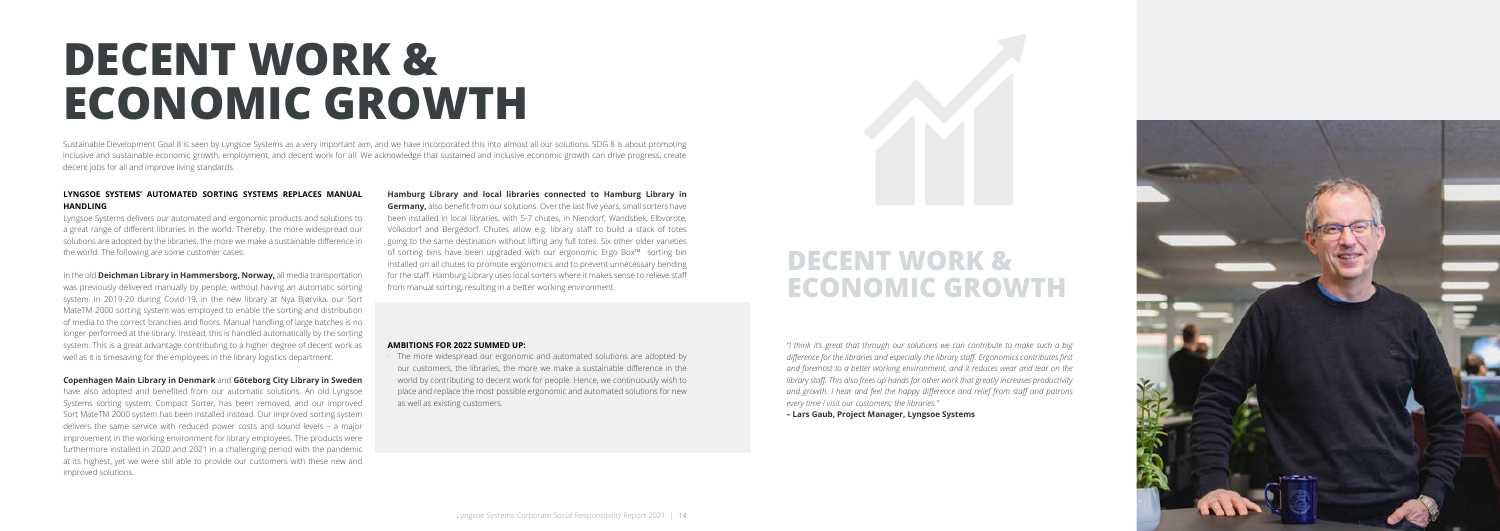# **DECENT WORK & ECONOMIC GROWTH**

#### **LYNGSOE SYSTEMS' AUTOMATED SORTING SYSTEMS REPLACES MANUAL HANDLING**

Lyngsoe Systems delivers our automated and ergonomic products and solutions to a great range of different libraries in the world. Thereby, the more widespread our solutions are adopted by the libraries, the more we make a sustainable difference in the world. The following are some customer cases:

In the old **Deichman Library in Hammersborg, Norway,** all media transportation was previously delivered manually by people, without having an automatic sorting system. In 2019-20 during Covid-19, in the new library at Nya Bjørvika, our Sort MateTM 2000 sorting system was employed to enable the sorting and distribution of media to the correct branches and floors. Manual handling of large batches is no longer performed at the library. Instead, this is handled automatically by the sorting system. This is a great advantage contributing to a higher degree of decent work as well as it is timesaving for the employees in the library logistics department.

#### **Copenhagen Main Library in Denmark** and **Göteborg City Library in Sweden**

The more widespread our ergonomic and automated solutions are adopted by our customers, the libraries, the more we make a sustainable difference in the world by contributing to decent work for people. Hence, we continuously wish to place and replace the most possible ergonomic and automated solutions for new as well as existing customers.



have also adopted and benefited from our automatic solutions. An old Lyngsoe Systems sorting system, Compact Sorter, has been removed, and our improved Sort MateTM 2000 system has been installed instead. Our improved sorting system delivers the same service with reduced power costs and sound levels – a major improvement in the working environment for library employees. The products were furthermore installed in 2020 and 2021 in a challenging period with the pandemic at its highest, yet we were still able to provide our customers with these new and improved solutions.

## DECENT WORK & **ECONOMIC GROWTH**

**Hamburg Library and local libraries connected to Hamburg Library in Germany,** also benefit from our solutions. Over the last five years, small sorters have been installed in local libraries, with 5-7 chutes, in Niendorf, Wandsbek, Elbvorote, Volksdorf and Bergedorf. Chutes allow e.g. library staff to build a stack of totes going to the same destination without lifting any full totes. Six other older varieties of sorting bins have been upgraded with our ergonomic Ergo Box™ sorting bin installed on all chutes to promote ergonomics and to prevent unnecessary bending for the staff. Hamburg Library uses local sorters where it makes sense to relieve staff from manual sorting, resulting in a better working environment.

#### **AMBITIONS FOR 2022 SUMMED UP:**

Sustainable Development Goal 8 is seen by Lyngsoe Systems as a very important aim, and we have incorporated this into almost all our solutions. SDG 8 is about promoting inclusive and sustainable economic growth, employment, and decent work for all. We acknowledge that sustained and inclusive economic growth can drive progress, create decent jobs for all and improve living standards.

> *"I think it's great that through our solutions we can contribute to make such a big difference for the libraries and especially the library staff. Ergonomics contributes first and foremost to a better working environment, and it reduces wear and tear on the library staff. This also frees up hands for other work that greatly increases productivity and growth. I hear and feel the happy difference and relief from staff and patrons every time I visit our customers; the libraries."*

**– Lars Gaub, Project Manager, Lyngsoe Systems**

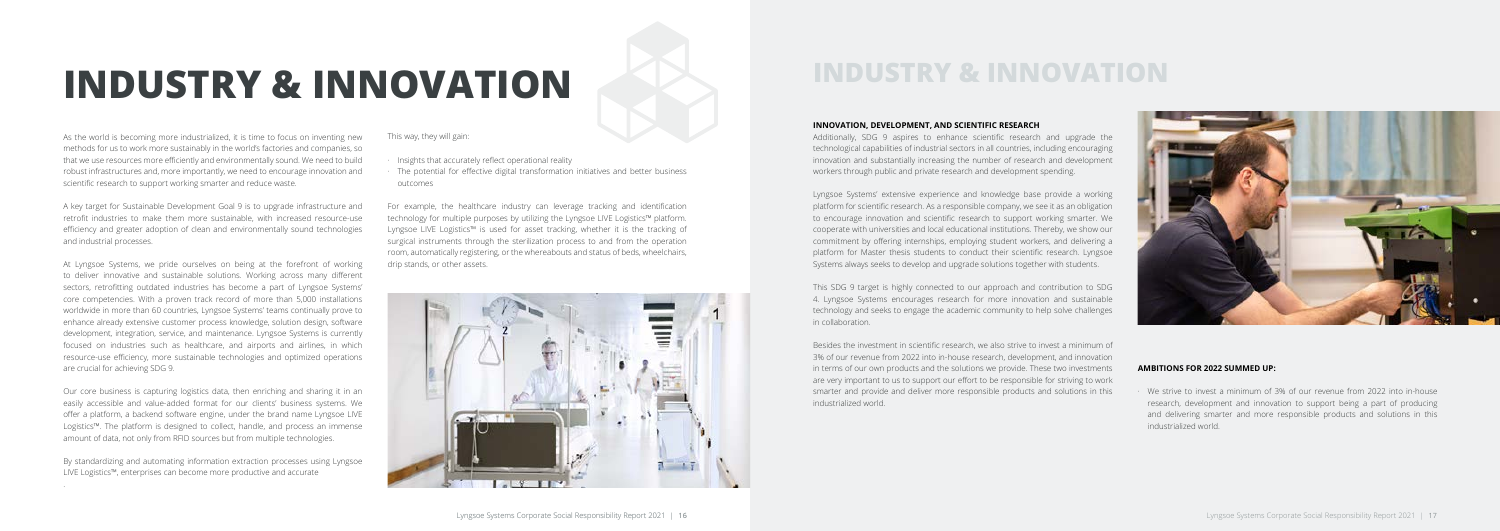As the world is becoming more industrialized, it is time to focus on inventing new methods for us to work more sustainably in the world's factories and companies, so that we use resources more efficiently and environmentally sound. We need to build robust infrastructures and, more importantly, we need to encourage innovation and scientific research to support working smarter and reduce waste.

A key target for Sustainable Development Goal 9 is to upgrade infrastructure and retrofit industries to make them more sustainable, with increased resource-use efficiency and greater adoption of clean and environmentally sound technologies and industrial processes.

At Lyngsoe Systems, we pride ourselves on being at the forefront of working to deliver innovative and sustainable solutions. Working across many different sectors, retrofitting outdated industries has become a part of Lyngsoe Systems' core competencies. With a proven track record of more than 5,000 installations worldwide in more than 60 countries, Lyngsoe Systems' teams continually prove to enhance already extensive customer process knowledge, solution design, software development, integration, service, and maintenance. Lyngsoe Systems is currently focused on industries such as healthcare, and airports and airlines, in which resource-use efficiency, more sustainable technologies and optimized operations are crucial for achieving SDG 9.

Our core business is capturing logistics data, then enriching and sharing it in an easily accessible and value-added format for our clients' business systems. We offer a platform, a backend software engine, under the brand name Lyngsoe LIVE Logistics™. The platform is designed to collect, handle, and process an immense amount of data, not only from RFID sources but from multiple technologies.

By standardizing and automating information extraction processes using Lyngsoe LIVE Logistics™, enterprises can become more productive and accurate

.

This way, they will gain:

- · Insights that accurately reflect operational reality
- The potential for effective digital transformation initiatives and better business outcomes

For example, the healthcare industry can leverage tracking and identification technology for multiple purposes by utilizing the Lyngsoe LIVE Logistics™ platform. Lyngsoe LIVE Logistics™ is used for asset tracking, whether it is the tracking of surgical instruments through the sterilization process to and from the operation room, automatically registering, or the whereabouts and status of beds, wheelchairs, drip stands, or other assets.



# **INDUSTRY & INNOVATION INDUSTRY & INNOVATION**

#### **INNOVATION, DEVELOPMENT, AND SCIENTIFIC RESEARCH**

Additionally, SDG 9 aspires to enhance scientific research and upgrade the technological capabilities of industrial sectors in all countries, including encouraging innovation and substantially increasing the number of research and development workers through public and private research and development spending.

Lyngsoe Systems' extensive experience and knowledge base provide a working platform for scientific research. As a responsible company, we see it as an obligation to encourage innovation and scientific research to support working smarter. We cooperate with universities and local educational institutions. Thereby, we show our commitment by offering internships, employing student workers, and delivering a platform for Master thesis students to conduct their scientific research. Lyngsoe Systems always seeks to develop and upgrade solutions together with students.

This SDG 9 target is highly connected to our approach and contribution to SDG 4. Lyngsoe Systems encourages research for more innovation and sustainable technology and seeks to engage the academic community to help solve challenges in collaboration.

Besides the investment in scientific research, we also strive to invest a minimum of 3% of our revenue from 2022 into in-house research, development, and innovation in terms of our own products and the solutions we provide. These two investments are very important to us to support our effort to be responsible for striving to work smarter and provide and deliver more responsible products and solutions in this industrialized world.



#### **AMBITIONS FOR 2022 SUMMED UP:**

· We strive to invest a minimum of 3% of our revenue from 2022 into in-house research, development and innovation to support being a part of producing and delivering smarter and more responsible products and solutions in this industrialized world.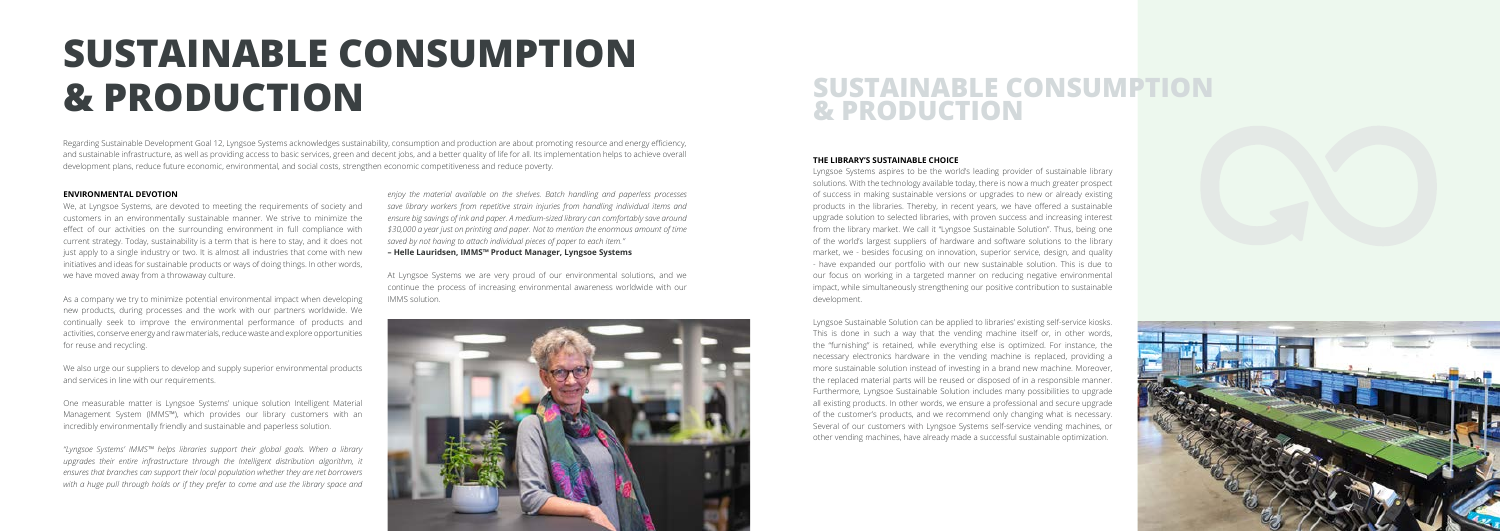

# **SUSTAINABLE CONSUMPTION & PRODUCTION SUSTAINABLE CONSUMPTION**

# **& PRODUCTION**

#### **ENVIRONMENTAL DEVOTION**

We, at Lyngsoe Systems, are devoted to meeting the requirements of society and customers in an environmentally sustainable manner. We strive to minimize the effect of our activities on the surrounding environment in full compliance with current strategy. Today, sustainability is a term that is here to stay, and it does not just apply to a single industry or two. It is almost all industries that come with new initiatives and ideas for sustainable products or ways of doing things. In other words, we have moved away from a throwaway culture.

As a company we try to minimize potential environmental impact when developing new products, during processes and the work with our partners worldwide. We continually seek to improve the environmental performance of products and activities, conserve energy and raw materials, reduce waste and explore opportunities for reuse and recycling.

We also urge our suppliers to develop and supply superior environmental products and services in line with our requirements.

Regarding Sustainable Development Goal 12, Lyngsoe Systems acknowledges sustainability, consumption and production are about promoting resource and energy efficiency, and sustainable infrastructure, as well as providing access to basic services, green and decent jobs, and a better quality of life for all. Its implementation helps to achieve overall development plans, reduce future economic, environmental, and social costs, strengthen economic competitiveness and reduce poverty.

One measurable matter is Lyngsoe Systems' unique solution Intelligent Material Management System (IMMS™), which provides our library customers with an incredibly environmentally friendly and sustainable and paperless solution.

*"Lyngsoe Systems' IMMS™ helps libraries support their global goals. When a library*  upgrades their entire infrastructure through the Intelligent distribution algorithm, it *ensures that branches can support their local population whether they are net borrowers with a huge pull through holds or if they prefer to come and use the library space and* 

*enjoy the material available on the shelves. Batch handling and paperless processes save library workers from repetitive strain injuries from handling individual items and ensure big savings of ink and paper. A medium-sized library can comfortably save around \$30,000 a year just on printing and paper. Not to mention the enormous amount of time saved by not having to attach individual pieces of paper to each item."*

**– Helle Lauridsen, IMMS™ Product Manager, Lyngsoe Systems**

At Lyngsoe Systems we are very proud of our environmental solutions, and we continue the process of increasing environmental awareness worldwide with our IMMS solution.

Lyngsoe Systems aspires to be the world's leading provider of sustainable library solutions. With the technology available today, there is now a much greater prospect of success in making sustainable versions or upgrades to new or already existing products in the libraries. Thereby, in recent years, we have offered a sustainable upgrade solution to selected libraries, with proven success and increasing interest from the library market. We call it "Lyngsoe Sustainable Solution". Thus, being one of the world's largest suppliers of hardware and software solutions to the library market, we - besides focusing on innovation, superior service, design, and quality - have expanded our portfolio with our new sustainable solution. This is due to our focus on working in a targeted manner on reducing negative environmental impact, while simultaneously strengthening our positive contribution to sustainable development.

Lyngsoe Sustainable Solution can be applied to libraries' existing self-service kiosks. This is done in such a way that the vending machine itself or, in other words, the "furnishing" is retained, while everything else is optimized. For instance, the necessary electronics hardware in the vending machine is replaced, providing a more sustainable solution instead of investing in a brand new machine. Moreover, the replaced material parts will be reused or disposed of in a responsible manner. Furthermore, Lyngsoe Sustainable Solution includes many possibilities to upgrade all existing products. In other words, we ensure a professional and secure upgrade of the customer's products, and we recommend only changing what is necessary. Several of our customers with Lyngsoe Systems self-service vending machines, or other vending machines, have already made a successful sustainable optimization.

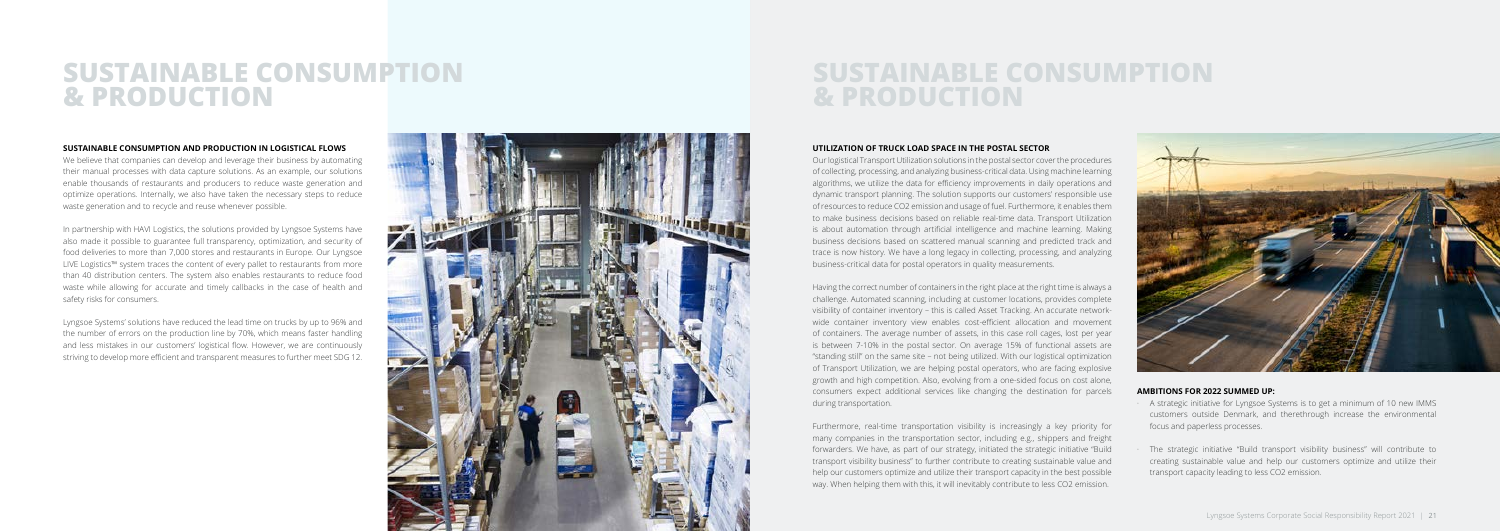### **SUSTAINABLE CONSUMPTION & PRODUCTION**

## **SUSTAINABLE CONSUMPTION & PRODUCTION**

#### **SUSTAINABLE CONSUMPTION AND PRODUCTION IN LOGISTICAL FLOWS**

We believe that companies can develop and leverage their business by automating their manual processes with data capture solutions. As an example, our solutions enable thousands of restaurants and producers to reduce waste generation and optimize operations. Internally, we also have taken the necessary steps to reduce waste generation and to recycle and reuse whenever possible.

In partnership with HAVI Logistics, the solutions provided by Lyngsoe Systems have also made it possible to guarantee full transparency, optimization, and security of food deliveries to more than 7,000 stores and restaurants in Europe. Our Lyngsoe LIVE Logistics™ system traces the content of every pallet to restaurants from more than 40 distribution centers. The system also enables restaurants to reduce food waste while allowing for accurate and timely callbacks in the case of health and safety risks for consumers.

Lyngsoe Systems' solutions have reduced the lead time on trucks by up to 96% and the number of errors on the production line by 70%, which means faster handling and less mistakes in our customers' logistical flow. However, we are continuously striving to develop more efficient and transparent measures to further meet SDG 12.



#### **UTILIZATION OF TRUCK LOAD SPACE IN THE POSTAL SECTOR**

Our logistical Transport Utilization solutions in the postal sector cover the procedures of collecting, processing, and analyzing business-critical data. Using machine learning algorithms, we utilize the data for efficiency improvements in daily operations and dynamic transport planning. The solution supports our customers' responsible use of resources to reduce CO2 emission and usage of fuel. Furthermore, it enables them to make business decisions based on reliable real-time data. Transport Utilization is about automation through artificial intelligence and machine learning. Making business decisions based on scattered manual scanning and predicted track and trace is now history. We have a long legacy in collecting, processing, and analyzing business-critical data for postal operators in quality measurements.

Having the correct number of containers in the right place at the right time is always a challenge. Automated scanning, including at customer locations, provides complete visibility of container inventory – this is called Asset Tracking. An accurate networkwide container inventory view enables cost-efficient allocation and movement of containers. The average number of assets, in this case roll cages, lost per year is between 7-10% in the postal sector. On average 15% of functional assets are "standing still" on the same site – not being utilized. With our logistical optimization of Transport Utilization, we are helping postal operators, who are facing explosive growth and high competition. Also, evolving from a one-sided focus on cost alone, consumers expect additional services like changing the destination for parcels during transportation.

Furthermore, real-time transportation visibility is increasingly a key priority for many companies in the transportation sector, including e.g., shippers and freight forwarders. We have, as part of our strategy, initiated the strategic initiative "Build transport visibility business" to further contribute to creating sustainable value and help our customers optimize and utilize their transport capacity in the best possible way. When helping them with this, it will inevitably contribute to less CO2 emission.



#### **AMBITIONS FOR 2022 SUMMED UP:**

- · A strategic initiative for Lyngsoe Systems is to get a minimum of 10 new IMMS customers outside Denmark, and therethrough increase the environmental focus and paperless processes.
- · The strategic initiative "Build transport visibility business" will contribute to creating sustainable value and help our customers optimize and utilize their transport capacity leading to less CO2 emission.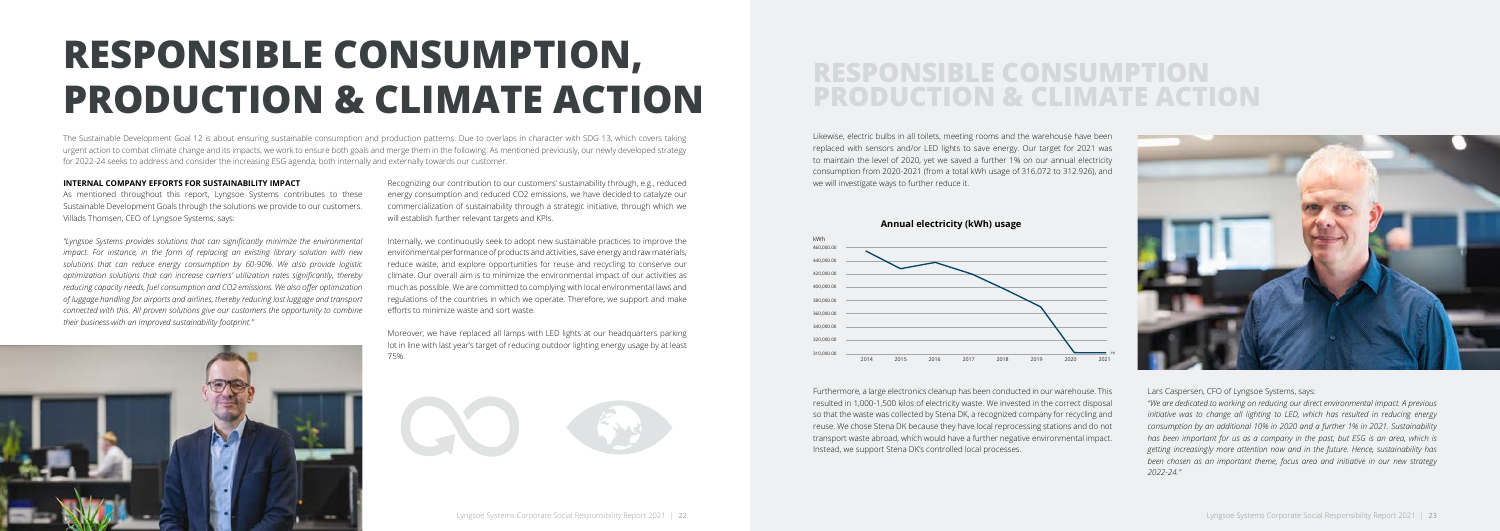# **RESPONSIBLE CONSUMPTION, PRODUCTION & CLIMATE ACTION**

## **RESPONSIBLE CONSUMPTION PRODUCTION & CLIMATE ACTION**

#### **INTERNAL COMPANY EFFORTS FOR SUSTAINABILITY IMPACT**

As mentioned throughout this report, Lyngsoe Systems contributes to these Sustainable Development Goals through the solutions we provide to our customers. Villads Thomsen, CEO of Lyngsoe Systems, says:

*''Lyngsoe Systems provides solutions that can significantly minimize the environmental impact. For instance, in the form of replacing an existing library solution with new solutions that can reduce energy consumption by 60-90%. We also provide logistic optimization solutions that can increase carriers' utilization rates significantly, thereby reducing capacity needs, fuel consumption and CO2 emissions. We also offer optimization of luggage handling for airports and airlines, thereby reducing lost luggage and transport connected with this. All proven solutions give our customers the opportunity to combine their business with an improved sustainability footprint."*

Recognizing our contribution to our customers' sustainability through, e.g., reduced energy consumption and reduced CO2 emissions, we have decided to catalyze our commercialization of sustainability through a strategic initiative, through which we will establish further relevant targets and KPIs.

Internally, we continuously seek to adopt new sustainable practices to improve the environmental performance of products and activities, save energy and raw materials, reduce waste, and explore opportunities for reuse and recycling to conserve our climate. Our overall aim is to minimize the environmental impact of our activities as much as possible. We are committed to complying with local environmental laws and regulations of the countries in which we operate. Therefore, we support and make efforts to minimize waste and sort waste.



Moreover, we have replaced all lamps with LED lights at our headquarters parking lot in line with last year's target of reducing outdoor lighting energy usage by at least 75%.





The Sustainable Development Goal 12 is about ensuring sustainable consumption and production patterns. Due to overlaps in character with SDG 13, which covers taking urgent action to combat climate change and its impacts, we work to ensure both goals and merge them in the following. As mentioned previously, our newly developed strategy for 2022-24 seeks to address and consider the increasing ESG agenda, both internally and externally towards our customer.

Likewise, electric bulbs in all toilets, meeting rooms and the warehouse have been replaced with sensors and/or LED lights to save energy. Our target for 2021 was to maintain the level of 2020, yet we saved a further 1% on our annual electricity consumption from 2020-2021 (from a total kWh usage of 316.072 to 312.926), and we will investigate ways to further reduce it.

Furthermore, a large electronics cleanup has been conducted in our warehouse. This resulted in 1,000-1,500 kilos of electricity waste. We invested in the correct disposal so that the waste was collected by Stena DK, a recognized company for recycling and reuse. We chose Stena DK because they have local reprocessing stations and do not transport waste abroad, which would have a further negative environmental impact. Instead, we support Stena DK's controlled local processes.



Lars Caspersen, CFO of Lyngsoe Systems, says:

*''We are dedicated to working on reducing our direct environmental impact. A previous initiative was to change all lighting to LED, which has resulted in reducing energy consumption by an additional 10% in 2020 and a further 1% in 2021. Sustainability has been important for us as a company in the past, but ESG is an area, which is getting increasingly more attention now and in the future. Hence, sustainability has been chosen as an important theme, focus area and initiative in our new strategy 2022-24."*



**Annual electricity (kWh) usage**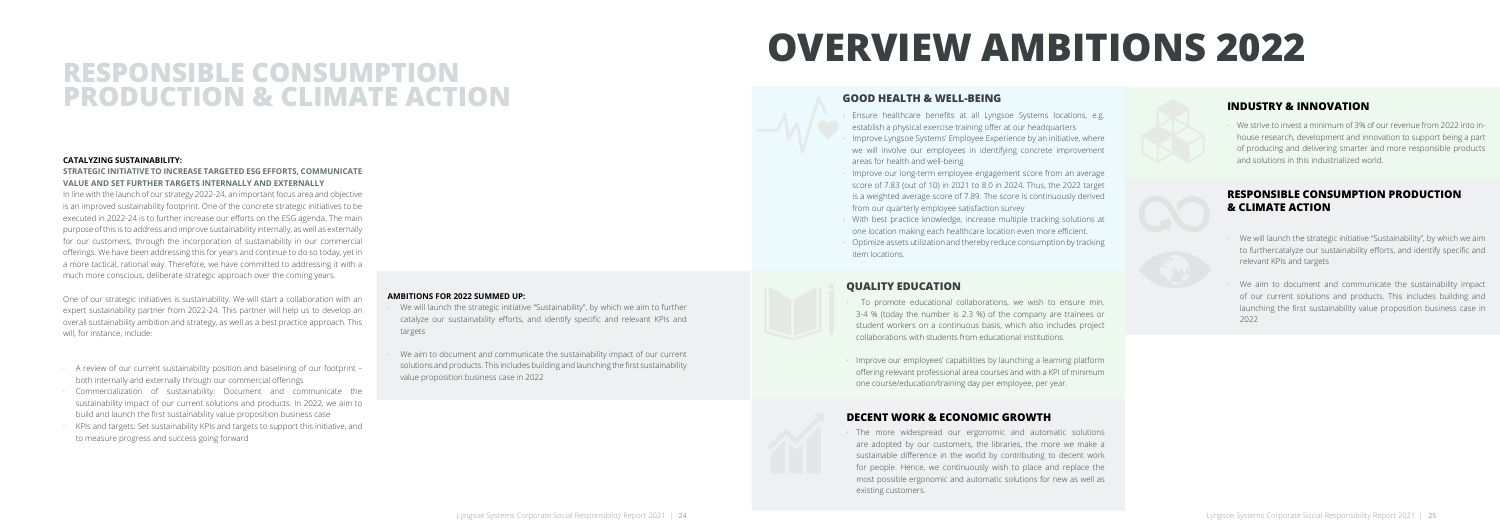## **RESPONSIBLE CONSUMPTION PRODUCTION & CLIMATE ACTION**

#### **CATALYZING SUSTAINABILITY:**

#### **STRATEGIC INITIATIVE TO INCREASE TARGETED ESG EFFORTS, COMMUNICATE VALUE AND SET FURTHER TARGETS INTERNALLY AND EXTERNALLY**

In line with the launch of our strategy 2022-24, an important focus area and objective is an improved sustainability footprint. One of the concrete strategic initiatives to be executed in 2022-24 is to further increase our efforts on the ESG agenda. The main purpose of this is to address and improve sustainability internally, as well as externally for our customers, through the incorporation of sustainability in our commercial offerings. We have been addressing this for years and continue to do so today, yet in a more tactical, rational way. Therefore, we have committed to addressing it with a much more conscious, deliberate strategic approach over the coming years.

- We will launch the strategic initiative "Sustainability", by which we aim to further catalyze our sustainability efforts, and identify specific and relevant KPIs and targets
- We aim to document and communicate the sustainability impact of our current solutions and products. This includes building and launching the first sustainability value proposition business case in 2022

One of our strategic initiatives is sustainability. We will start a collaboration with an expert sustainability partner from 2022-24. This partner will help us to develop an overall sustainability ambition and strategy, as well as a best practice approach. This will, for instance, include:

- · A review of our current sustainability position and baselining of our footprint both internally and externally through our commercial offerings
- · Commercialization of sustainability: Document and communicate the sustainability impact of our current solutions and products. In 2022, we aim to build and launch the first sustainability value proposition business case
- · KPIs and targets: Set sustainability KPIs and targets to support this initiative, and to measure progress and success going forward

To promote educational collaborations, we wish to ensure min. 3-4 % (today the number is 2.3 %) of the company are trainees or student workers on a continuous basis, which also includes project collaborations with students from educational institutions.

#### **AMBITIONS FOR 2022 SUMMED UP:**

The more widespread our ergonomic and automatic solutions are adopted by our customers, the libraries, the more we make a sustainable difference in the world by contributing to decent work for people. Hence, we continuously wish to place and replace the most possible ergonomic and automatic solutions for new as well as existing customers.

# **OVERVIEW AMBITIONS 2022**

### **GOOD HEALTH & WELL-BEING**

- · Ensure healthcare benefits at all Lyngsoe Systems locations, e.g. establish a physical exercise training offer at our headquarters
- · Improve Lyngsoe Systems' Employee Experience by an initiative, where we will involve our employees in identifying concrete improvement areas for health and well-being
- · Improve our long-term employee engagement score from an average score of 7.83 (out of 10) in 2021 to 8.0 in 2024. Thus, the 2022 target is a weighted average score of 7.89. The score is continuously derived from our quarterly employee satisfaction survey
- · With best practice knowledge, increase multiple tracking solutions at one location making each healthcare location even more efficient.
- · Optimize assets utilization and thereby reduce consumption by tracking item locations.

### **QUALITY EDUCATION**

· Improve our employees' capabilities by launching a learning platform offering relevant professional area courses and with a KPI of minimum one course/education/training day per employee, per year.

### **DECENT WORK & ECONOMIC GROWTH**

### **INDUSTRY & INNOVATION**

· We strive to invest a minimum of 3% of our revenue from 2022 into inhouse research, development and innovation to support being a part of producing and delivering smarter and more responsible products and solutions in this industrialized world.

### **RESPONSIBLE CONSUMPTION PRODUCTION & CLIMATE ACTION**

- · We will launch the strategic initiative "Sustainability", by which we aim to furthercatalyze our sustainability efforts, and identify specific and relevant KPIs and targets
- We aim to document and communicate the sustainability impact of our current solutions and products. This includes building and launching the first sustainability value proposition business case in 2022